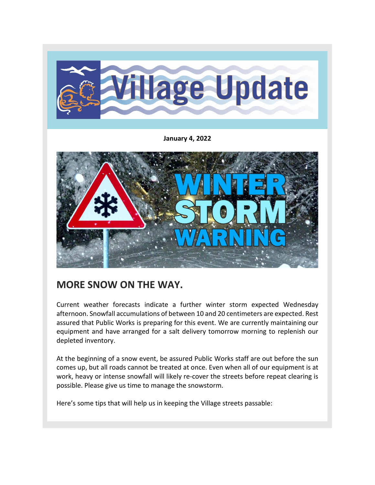

**January 4, 2022**



## **MORE SNOW ON THE WAY.**

Current weather forecasts indicate a further winter storm expected Wednesday afternoon. Snowfall accumulations of between 10 and 20 centimeters are expected. Rest assured that Public Works is preparing for this event. We are currently maintaining our equipment and have arranged for a salt delivery tomorrow morning to replenish our depleted inventory.

At the beginning of a snow event, be assured Public Works staff are out before the sun comes up, but all roads cannot be treated at once. Even when all of our equipment is at work, heavy or intense snowfall will likely re-cover the streets before repeat clearing is possible. Please give us time to manage the snowstorm.

Here's some tips that will help us in keeping the Village streets passable: